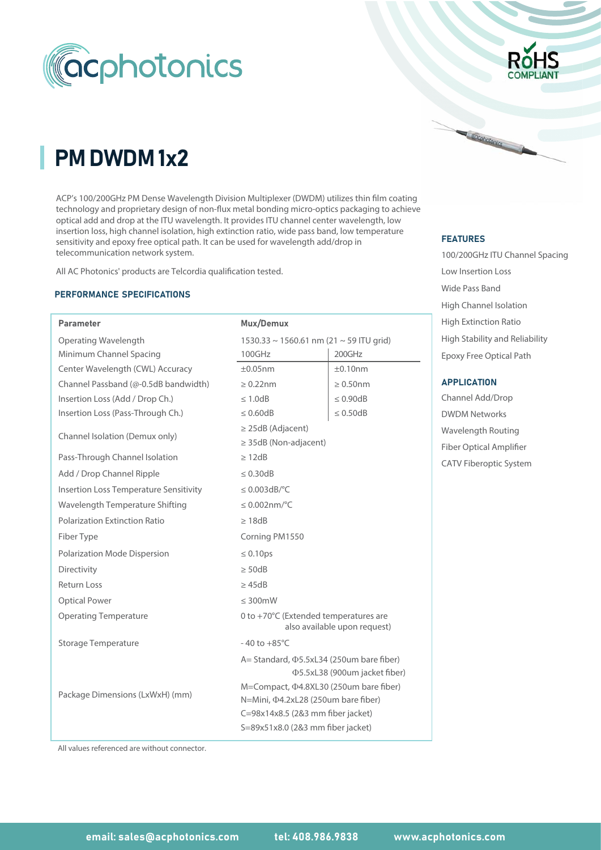

# PM DWDM 1x2

ACP's 100/200GHz PM Dense Wavelength Division Multiplexer (DWDM) utilizes thin film coating technology and proprietary design of non-flux metal bonding micro-optics packaging to achieve optical add and drop at the ITU wavelength. It provides ITU channel center wavelength, low insertion loss, high channel isolation, high extinction ratio, wide pass band, low temperature sensitivity and epoxy free optical path. It can be used for wavelength add/drop in telecommunication network system.

All AC Photonics' products are Telcordia qualification tested.

#### PERFORMANCE SPECIFICATIONS

| <b>Parameter</b>                              | Mux/Demux                                                                                                                                                                                                                                                     |                |  |  |  |
|-----------------------------------------------|---------------------------------------------------------------------------------------------------------------------------------------------------------------------------------------------------------------------------------------------------------------|----------------|--|--|--|
| Operating Wavelength                          | 1530.33 ~ 1560.61 nm (21 ~ 59 ITU grid)                                                                                                                                                                                                                       |                |  |  |  |
| Minimum Channel Spacing                       | 100GHz                                                                                                                                                                                                                                                        | 200GHz         |  |  |  |
| Center Wavelength (CWL) Accuracy              | $\pm 0.05$ nm                                                                                                                                                                                                                                                 | ±0.10nm        |  |  |  |
| Channel Passband (@-0.5dB bandwidth)          | $\geq 0.22$ nm                                                                                                                                                                                                                                                | $\geq 0.50$ nm |  |  |  |
| Insertion Loss (Add / Drop Ch.)               | $\leq 1.0$ dB                                                                                                                                                                                                                                                 | $\leq 0.90dB$  |  |  |  |
| Insertion Loss (Pass-Through Ch.)             | $\leq 0.50dB$<br>$\leq 0.60$ dB                                                                                                                                                                                                                               |                |  |  |  |
| Channel Isolation (Demux only)                | $\geq$ 25dB (Adjacent)<br>$\geq$ 35dB (Non-adjacent)                                                                                                                                                                                                          |                |  |  |  |
| Pass-Through Channel Isolation                | $\geq$ 12dB                                                                                                                                                                                                                                                   |                |  |  |  |
| Add / Drop Channel Ripple                     | $\leq 0.30$ dB                                                                                                                                                                                                                                                |                |  |  |  |
| <b>Insertion Loss Temperature Sensitivity</b> | $\leq$ 0.003dB/°C                                                                                                                                                                                                                                             |                |  |  |  |
| Wavelength Temperature Shifting               | $\leq 0.002$ nm/°C                                                                                                                                                                                                                                            |                |  |  |  |
| Polarization Extinction Ratio                 | $\geq 18$ dB                                                                                                                                                                                                                                                  |                |  |  |  |
| Fiber Type                                    | Corning PM1550                                                                                                                                                                                                                                                |                |  |  |  |
| Polarization Mode Dispersion                  | $\leq 0.10$ ps                                                                                                                                                                                                                                                |                |  |  |  |
| Directivity                                   | $\geq$ 50dB                                                                                                                                                                                                                                                   |                |  |  |  |
| <b>Return Loss</b>                            | $\geq$ 45dB                                                                                                                                                                                                                                                   |                |  |  |  |
| <b>Optical Power</b>                          | $\leq 300$ mW                                                                                                                                                                                                                                                 |                |  |  |  |
| <b>Operating Temperature</b>                  | 0 to +70°C (Extended temperatures are<br>also available upon request)                                                                                                                                                                                         |                |  |  |  |
| <b>Storage Temperature</b>                    | $-40$ to $+85^{\circ}$ C                                                                                                                                                                                                                                      |                |  |  |  |
| Package Dimensions (LxWxH) (mm)               | A= Standard, $\Phi$ 5.5xL34 (250um bare fiber)<br><b>Φ5.5xL38 (900um jacket fiber)</b><br>M=Compact, $\Phi$ 4.8XL30 (250um bare fiber)<br>N=Mini, $\Phi$ 4.2xL28 (250um bare fiber)<br>C=98x14x8.5 (2&3 mm fiber jacket)<br>S=89x51x8.0 (2&3 mm fiber jacket) |                |  |  |  |



#### FEATURES

Cocohotonics

100/200GHz ITU Channel Spacing Low Insertion Loss Wide Pass Band Epoxy Free Optical Path High Stability and Reliability High Channel Isolation High Extinction Ratio

#### APPLICATION

DWDM Networks Channel Add/Drop Wavelength Routing Fiber Optical Amplifier CATV Fiberoptic System

All values referenced are without connector.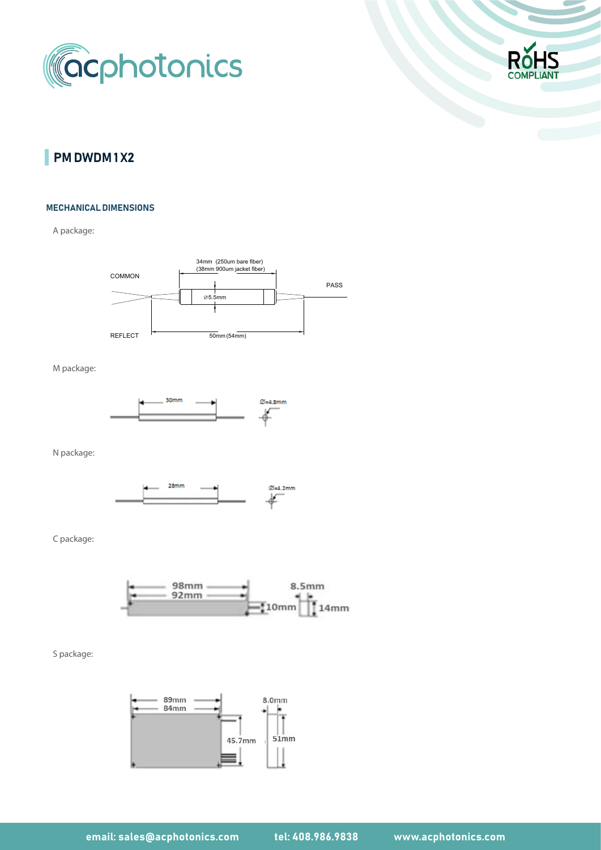



# PM DWDM 1 X2

#### MECHANICAL DIMENSIONS

A package:



M package:



N package:



C package:



S package:

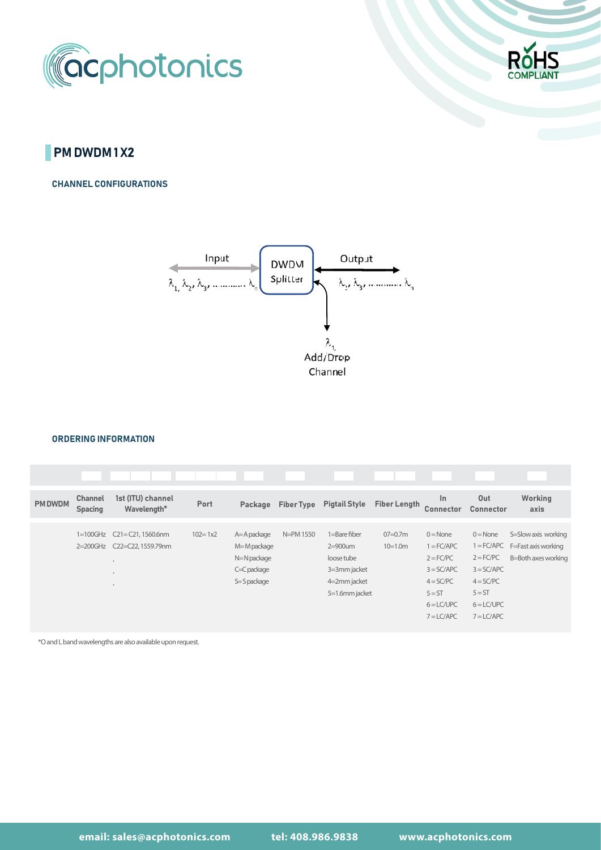



## **PM DWDM 1 X2**

CHANNEL CONFIGURATIONS



#### ORDERING INFORMATION

| <b>PM DWDM</b> | <b>Channel</b><br><b>Spacing</b> | 1st (ITU) channel<br>Wavelength* | Port        | Package         | <b>Fiber Type</b> | <b>Pigtail Style</b> | <b>Fiber Length</b> | $\ln$<br>Connector | Out<br>Connector | Working<br>axis     |
|----------------|----------------------------------|----------------------------------|-------------|-----------------|-------------------|----------------------|---------------------|--------------------|------------------|---------------------|
|                |                                  |                                  |             |                 |                   |                      |                     |                    |                  |                     |
|                |                                  | 1=100GHz C21=C21, 1560.6nm       | $102 = 1x2$ | $A = A$ package | N=PM 1550         | 1=Bare fiber         | $07=0.7m$           | $0 = None$         | $0 = None$       | S=Slow axis working |
|                |                                  | 2=200GHz C22=C22,1559.79nm       |             | M=M package     |                   | $2=900$ um           | $10=1.0m$           | $1 = FC/APC$       | $1 = FC/APC$     | F=Fast axis working |
|                |                                  | $\bullet$                        |             | N=N package     |                   | loose tube           |                     | $2 = FC/PC$        | $2 = FC/PC$      | B=Both axes working |
|                |                                  | $\bullet$                        |             | C=C package     |                   | 3=3mm jacket         |                     | $3 = SC/APC$       | $3 = SC/APC$     |                     |
|                |                                  | $\bullet$                        |             | S=Spackage      |                   | 4=2mm jacket         |                     | $4 = SC/PC$        | $4 = SC/PC$      |                     |
|                |                                  |                                  |             |                 |                   | 5=1.6mm jacket       |                     | $5 = ST$           | $5 = ST$         |                     |
|                |                                  |                                  |             |                 |                   |                      |                     | $6 = LCVUPC$       | $6 = LCYUPC$     |                     |
|                |                                  |                                  |             |                 |                   |                      |                     | $7 = LCAPC$        | $7 = LC/APC$     |                     |

\*O and L band wavelengths are also available upon request.